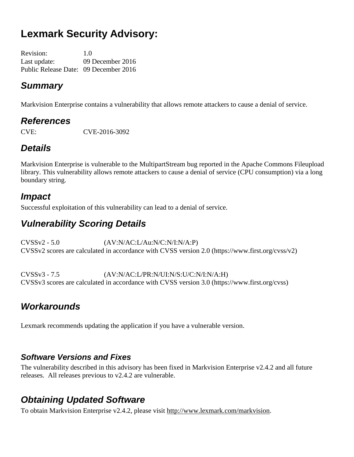# **Lexmark Security Advisory:**

Revision: 1.0 Last update: 09 December 2016 Public Release Date: 09 December 2016

### *Summary*

Markvision Enterprise contains a vulnerability that allows remote attackers to cause a denial of service.

### *References*

CVE: CVE-2016-3092

# *Details*

Markvision Enterprise is vulnerable to the MultipartStream bug reported in the Apache Commons Fileupload library. This vulnerability allows remote attackers to cause a denial of service (CPU consumption) via a long boundary string.

### *Impact*

Successful exploitation of this vulnerability can lead to a denial of service.

# *Vulnerability Scoring Details*

CVSSv2 - 5.0 (AV:N/AC:L/Au:N/C:N/I:N/A:P) CVSSv2 scores are calculated in accordance with CVSS version 2.0 (https://www.first.org/cvss/v2)

CVSSv3 - 7.5 (AV:N/AC:L/PR:N/UI:N/S:U/C:N/I:N/A:H) CVSSv3 scores are calculated in accordance with CVSS version 3.0 (https://www.first.org/cvss)

# *Workarounds*

Lexmark recommends updating the application if you have a vulnerable version.

#### *Software Versions and Fixes*

The vulnerability described in this advisory has been fixed in Markvision Enterprise v2.4.2 and all future releases. All releases previous to v2.4.2 are vulnerable.

### *Obtaining Updated Software*

To obtain Markvision Enterprise v2.4.2, please visit http://www.lexmark.com/markvision.